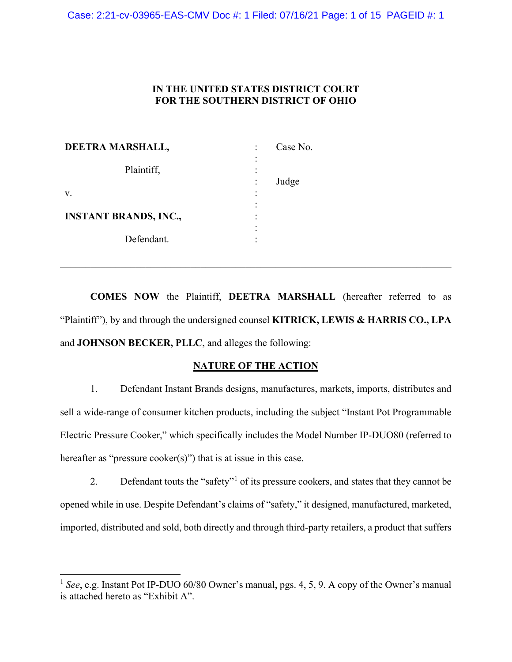# **IN THE UNITED STATES DISTRICT COURT FOR THE SOUTHERN DISTRICT OF OHIO**

| DEETRA MARSHALL,             |   | Case No. |
|------------------------------|---|----------|
| Plaintiff,                   | ٠ |          |
|                              |   | Judge    |
| $V_{\rm A}$                  | ٠ |          |
|                              |   |          |
| <b>INSTANT BRANDS, INC.,</b> |   |          |
|                              |   |          |
| Defendant.                   |   |          |

**COMES NOW** the Plaintiff, **DEETRA MARSHALL** (hereafter referred to as "Plaintiff"), by and through the undersigned counsel **KITRICK, LEWIS & HARRIS CO., LPA** and **JOHNSON BECKER, PLLC**, and alleges the following:

\_\_\_\_\_\_\_\_\_\_\_\_\_\_\_\_\_\_\_\_\_\_\_\_\_\_\_\_\_\_\_\_\_\_\_\_\_\_\_\_\_\_\_\_\_\_\_\_\_\_\_\_\_\_\_\_\_\_\_\_\_\_\_\_\_\_\_\_\_\_\_\_\_\_\_\_\_\_

# **NATURE OF THE ACTION**

1. Defendant Instant Brands designs, manufactures, markets, imports, distributes and sell a wide-range of consumer kitchen products, including the subject "Instant Pot Programmable Electric Pressure Cooker," which specifically includes the Model Number IP-DUO80 (referred to hereafter as "pressure cooker(s)") that is at issue in this case.

2. Defendant touts the "safety"<sup>[1](#page-0-0)</sup> of its pressure cookers, and states that they cannot be opened while in use. Despite Defendant's claims of "safety," it designed, manufactured, marketed, imported, distributed and sold, both directly and through third-party retailers, a product that suffers

<span id="page-0-0"></span><sup>&</sup>lt;sup>1</sup> *See*, e.g. Instant Pot IP-DUO 60/80 Owner's manual, pgs. 4, 5, 9. A copy of the Owner's manual is attached hereto as "Exhibit A".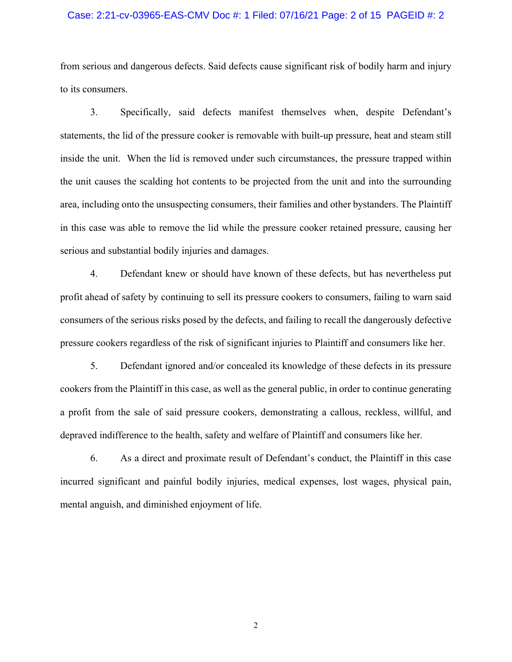## Case: 2:21-cv-03965-EAS-CMV Doc #: 1 Filed: 07/16/21 Page: 2 of 15 PAGEID #: 2

from serious and dangerous defects. Said defects cause significant risk of bodily harm and injury to its consumers.

3. Specifically, said defects manifest themselves when, despite Defendant's statements, the lid of the pressure cooker is removable with built-up pressure, heat and steam still inside the unit. When the lid is removed under such circumstances, the pressure trapped within the unit causes the scalding hot contents to be projected from the unit and into the surrounding area, including onto the unsuspecting consumers, their families and other bystanders. The Plaintiff in this case was able to remove the lid while the pressure cooker retained pressure, causing her serious and substantial bodily injuries and damages.

4. Defendant knew or should have known of these defects, but has nevertheless put profit ahead of safety by continuing to sell its pressure cookers to consumers, failing to warn said consumers of the serious risks posed by the defects, and failing to recall the dangerously defective pressure cookers regardless of the risk of significant injuries to Plaintiff and consumers like her.

5. Defendant ignored and/or concealed its knowledge of these defects in its pressure cookers from the Plaintiff in this case, as well as the general public, in order to continue generating a profit from the sale of said pressure cookers, demonstrating a callous, reckless, willful, and depraved indifference to the health, safety and welfare of Plaintiff and consumers like her.

6. As a direct and proximate result of Defendant's conduct, the Plaintiff in this case incurred significant and painful bodily injuries, medical expenses, lost wages, physical pain, mental anguish, and diminished enjoyment of life.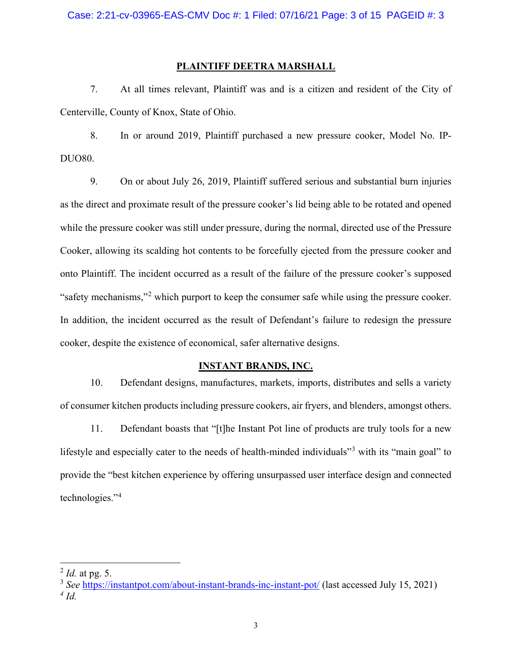## **PLAINTIFF DEETRA MARSHALL**

7. At all times relevant, Plaintiff was and is a citizen and resident of the City of Centerville, County of Knox, State of Ohio.

8. In or around 2019, Plaintiff purchased a new pressure cooker, Model No. IP-DUO80.

9. On or about July 26, 2019, Plaintiff suffered serious and substantial burn injuries as the direct and proximate result of the pressure cooker's lid being able to be rotated and opened while the pressure cooker was still under pressure, during the normal, directed use of the Pressure Cooker, allowing its scalding hot contents to be forcefully ejected from the pressure cooker and onto Plaintiff. The incident occurred as a result of the failure of the pressure cooker's supposed "safety mechanisms,"[2](#page-2-0) which purport to keep the consumer safe while using the pressure cooker. In addition, the incident occurred as the result of Defendant's failure to redesign the pressure cooker, despite the existence of economical, safer alternative designs.

## **INSTANT BRANDS, INC.**

10. Defendant designs, manufactures, markets, imports, distributes and sells a variety of consumer kitchen products including pressure cookers, air fryers, and blenders, amongst others.

11. Defendant boasts that "[t]he Instant Pot line of products are truly tools for a new lifestyle and especially cater to the needs of health-minded individuals"<sup>[3](#page-2-1)</sup> with its "main goal" to provide the "best kitchen experience by offering unsurpassed user interface design and connected technologies."[4](#page-2-2)

<span id="page-2-0"></span><sup>2</sup> *Id.* at pg. 5.

<span id="page-2-2"></span><span id="page-2-1"></span><sup>3</sup> *See* <https://instantpot.com/about-instant-brands-inc-instant-pot/> (last accessed July 15, 2021) *<sup>4</sup> Id.*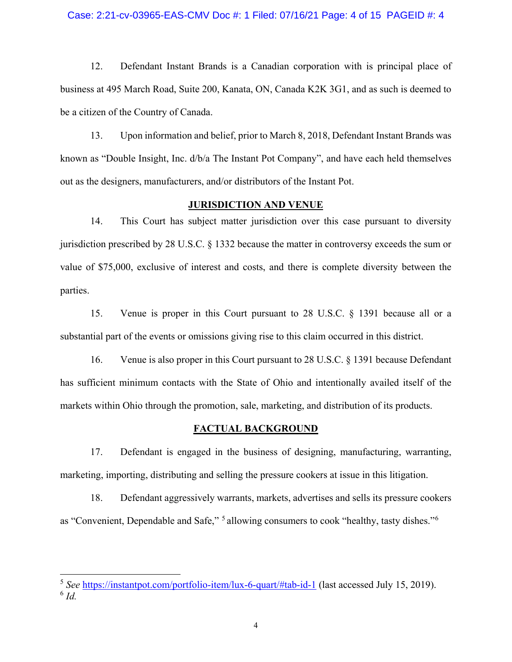## Case: 2:21-cv-03965-EAS-CMV Doc #: 1 Filed: 07/16/21 Page: 4 of 15 PAGEID #: 4

12. Defendant Instant Brands is a Canadian corporation with is principal place of business at 495 March Road, Suite 200, Kanata, ON, Canada K2K 3G1, and as such is deemed to be a citizen of the Country of Canada.

13. Upon information and belief, prior to March 8, 2018, Defendant Instant Brands was known as "Double Insight, Inc. d/b/a The Instant Pot Company", and have each held themselves out as the designers, manufacturers, and/or distributors of the Instant Pot.

## **JURISDICTION AND VENUE**

14. This Court has subject matter jurisdiction over this case pursuant to diversity jurisdiction prescribed by 28 U.S.C. § 1332 because the matter in controversy exceeds the sum or value of \$75,000, exclusive of interest and costs, and there is complete diversity between the parties.

15. Venue is proper in this Court pursuant to 28 U.S.C. § 1391 because all or a substantial part of the events or omissions giving rise to this claim occurred in this district.

16. Venue is also proper in this Court pursuant to 28 U.S.C. § 1391 because Defendant has sufficient minimum contacts with the State of Ohio and intentionally availed itself of the markets within Ohio through the promotion, sale, marketing, and distribution of its products.

## **FACTUAL BACKGROUND**

17. Defendant is engaged in the business of designing, manufacturing, warranting, marketing, importing, distributing and selling the pressure cookers at issue in this litigation.

18. Defendant aggressively warrants, markets, advertises and sells its pressure cookers as "Convenient, Dependable and Safe," [5](#page-3-0) allowing consumers to cook "healthy, tasty dishes."[6](#page-3-1)

<span id="page-3-1"></span><span id="page-3-0"></span><sup>5</sup> *See* <https://instantpot.com/portfolio-item/lux-6-quart/#tab-id-1> (last accessed July 15, 2019). <sup>6</sup> *Id.*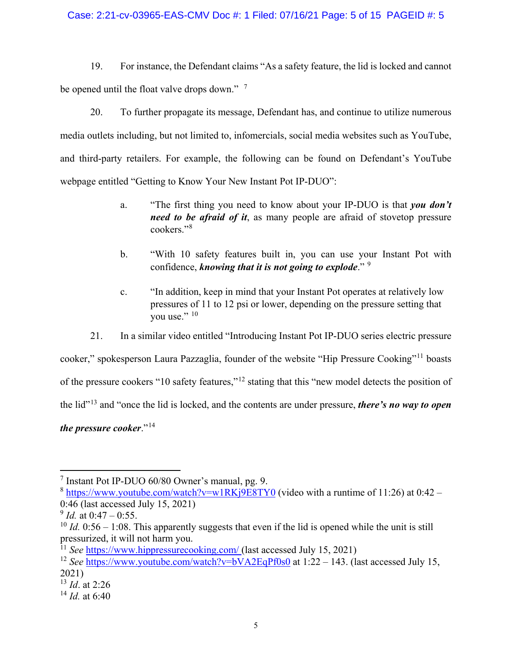## Case: 2:21-cv-03965-EAS-CMV Doc #: 1 Filed: 07/16/21 Page: 5 of 15 PAGEID #: 5

19. For instance, the Defendant claims "As a safety feature, the lid is locked and cannot be opened until the float valve drops down."<sup>[7](#page-4-0)</sup>

20. To further propagate its message, Defendant has, and continue to utilize numerous media outlets including, but not limited to, infomercials, social media websites such as YouTube, and third-party retailers. For example, the following can be found on Defendant's YouTube webpage entitled "Getting to Know Your New Instant Pot IP-DUO":

- a. "The first thing you need to know about your IP-DUO is that *you don't need to be afraid of it*, as many people are afraid of stovetop pressure cookers."[8](#page-4-1)
- b. "With 10 safety features built in, you can use your Instant Pot with confidence, *knowing that it is not going to explode*." [9](#page-4-2)
- c. "In addition, keep in mind that your Instant Pot operates at relatively low pressures of 11 to 12 psi or lower, depending on the pressure setting that you use." [10](#page-4-3)
- 21. In a similar video entitled "Introducing Instant Pot IP-DUO series electric pressure

cooker," spokesperson Laura Pazzaglia, founder of the website "Hip Pressure Cooking"[11](#page-4-4) boasts of the pressure cookers "10 safety features,"[12](#page-4-5) stating that this "new model detects the position of the lid"[13](#page-4-6) and "once the lid is locked, and the contents are under pressure, *there's no way to open the pressure cooker*."[14](#page-4-7)

<span id="page-4-0"></span><sup>7</sup> Instant Pot IP-DUO 60/80 Owner's manual, pg. 9.

<span id="page-4-1"></span> $8 \text{ https://www.voutube.com/watch?v=w1RKj9ESTY0 (video with a runtime of 11:26) at 0:42 -$ 0:46 (last accessed July 15, 2021)

<span id="page-4-2"></span> $^{9}$  *Id.* at 0:47 – 0:55.

<span id="page-4-3"></span> $10$  *Id.* 0:56 – 1:08. This apparently suggests that even if the lid is opened while the unit is still pressurized, it will not harm you.

<span id="page-4-4"></span><sup>&</sup>lt;sup>11</sup> *See* https://www.hippressurecooking.com/ (last accessed July 15, 2021)

<span id="page-4-5"></span><sup>&</sup>lt;sup>12</sup> *See* <https://www.youtube.com/watch?v=bVA2EqPf0s0> at 1:22 – 143. (last accessed July 15, 2021)

<span id="page-4-6"></span><sup>13</sup> *Id*. at 2:26

<span id="page-4-7"></span> $^{14}$  *Id.* at 6:40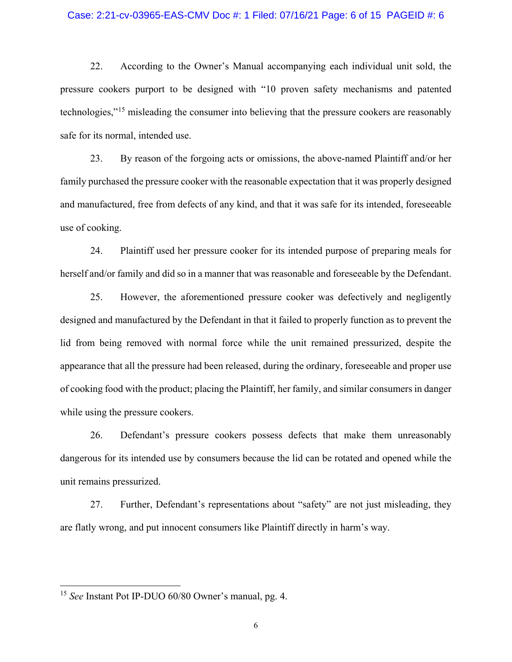## Case: 2:21-cv-03965-EAS-CMV Doc #: 1 Filed: 07/16/21 Page: 6 of 15 PAGEID #: 6

22. According to the Owner's Manual accompanying each individual unit sold, the pressure cookers purport to be designed with "10 proven safety mechanisms and patented technologies,"[15](#page-5-0) misleading the consumer into believing that the pressure cookers are reasonably safe for its normal, intended use.

23. By reason of the forgoing acts or omissions, the above-named Plaintiff and/or her family purchased the pressure cooker with the reasonable expectation that it was properly designed and manufactured, free from defects of any kind, and that it was safe for its intended, foreseeable use of cooking.

24. Plaintiff used her pressure cooker for its intended purpose of preparing meals for herself and/or family and did so in a manner that was reasonable and foreseeable by the Defendant.

25. However, the aforementioned pressure cooker was defectively and negligently designed and manufactured by the Defendant in that it failed to properly function as to prevent the lid from being removed with normal force while the unit remained pressurized, despite the appearance that all the pressure had been released, during the ordinary, foreseeable and proper use of cooking food with the product; placing the Plaintiff, her family, and similar consumers in danger while using the pressure cookers.

26. Defendant's pressure cookers possess defects that make them unreasonably dangerous for its intended use by consumers because the lid can be rotated and opened while the unit remains pressurized.

27. Further, Defendant's representations about "safety" are not just misleading, they are flatly wrong, and put innocent consumers like Plaintiff directly in harm's way.

<span id="page-5-0"></span><sup>15</sup> *See* Instant Pot IP-DUO 60/80 Owner's manual, pg. 4.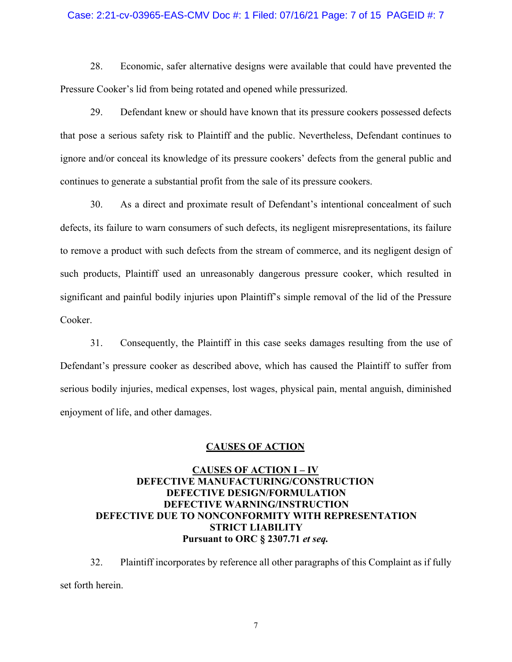## Case: 2:21-cv-03965-EAS-CMV Doc #: 1 Filed: 07/16/21 Page: 7 of 15 PAGEID #: 7

28. Economic, safer alternative designs were available that could have prevented the Pressure Cooker's lid from being rotated and opened while pressurized.

29. Defendant knew or should have known that its pressure cookers possessed defects that pose a serious safety risk to Plaintiff and the public. Nevertheless, Defendant continues to ignore and/or conceal its knowledge of its pressure cookers' defects from the general public and continues to generate a substantial profit from the sale of its pressure cookers.

30. As a direct and proximate result of Defendant's intentional concealment of such defects, its failure to warn consumers of such defects, its negligent misrepresentations, its failure to remove a product with such defects from the stream of commerce, and its negligent design of such products, Plaintiff used an unreasonably dangerous pressure cooker, which resulted in significant and painful bodily injuries upon Plaintiff's simple removal of the lid of the Pressure Cooker.

31. Consequently, the Plaintiff in this case seeks damages resulting from the use of Defendant's pressure cooker as described above, which has caused the Plaintiff to suffer from serious bodily injuries, medical expenses, lost wages, physical pain, mental anguish, diminished enjoyment of life, and other damages.

## **CAUSES OF ACTION**

# **CAUSES OF ACTION I – IV DEFECTIVE MANUFACTURING/CONSTRUCTION DEFECTIVE DESIGN/FORMULATION DEFECTIVE WARNING/INSTRUCTION DEFECTIVE DUE TO NONCONFORMITY WITH REPRESENTATION STRICT LIABILITY Pursuant to ORC § 2307.71** *et seq.*

32. Plaintiff incorporates by reference all other paragraphs of this Complaint as if fully set forth herein.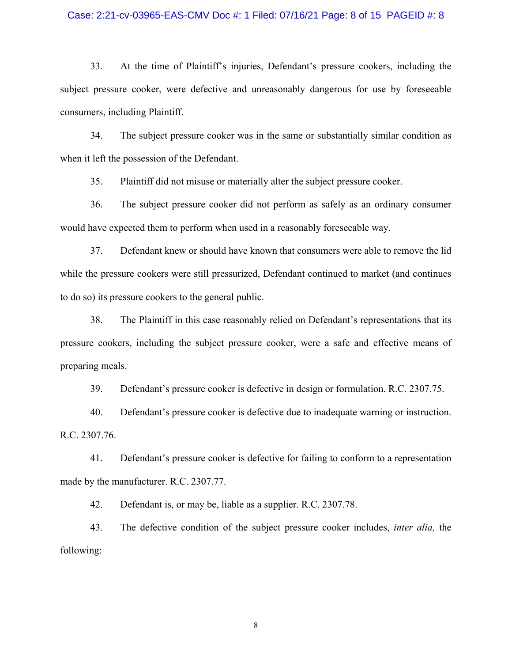## Case: 2:21-cv-03965-EAS-CMV Doc #: 1 Filed: 07/16/21 Page: 8 of 15 PAGEID #: 8

33. At the time of Plaintiff's injuries, Defendant's pressure cookers, including the subject pressure cooker, were defective and unreasonably dangerous for use by foreseeable consumers, including Plaintiff.

34. The subject pressure cooker was in the same or substantially similar condition as when it left the possession of the Defendant.

35. Plaintiff did not misuse or materially alter the subject pressure cooker.

36. The subject pressure cooker did not perform as safely as an ordinary consumer would have expected them to perform when used in a reasonably foreseeable way.

37. Defendant knew or should have known that consumers were able to remove the lid while the pressure cookers were still pressurized, Defendant continued to market (and continues to do so) its pressure cookers to the general public.

38. The Plaintiff in this case reasonably relied on Defendant's representations that its pressure cookers, including the subject pressure cooker, were a safe and effective means of preparing meals.

39. Defendant's pressure cooker is defective in design or formulation. R.C. 2307.75.

40. Defendant's pressure cooker is defective due to inadequate warning or instruction. R.C. 2307.76.

41. Defendant's pressure cooker is defective for failing to conform to a representation made by the manufacturer. R.C. 2307.77.

42. Defendant is, or may be, liable as a supplier. R.C. 2307.78.

43. The defective condition of the subject pressure cooker includes, *inter alia,* the following: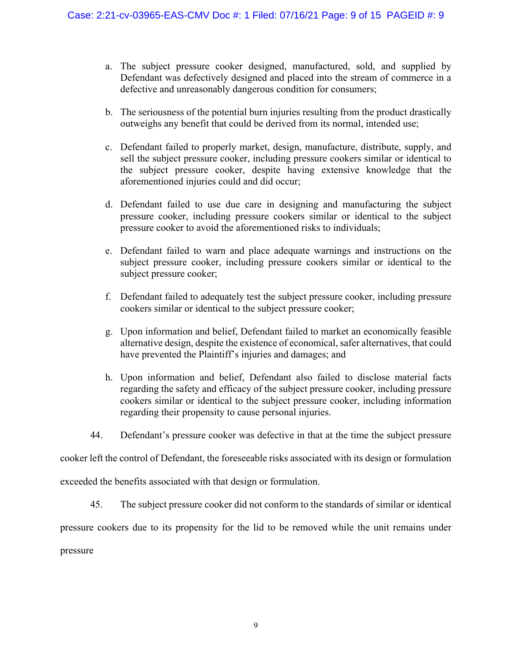- a. The subject pressure cooker designed, manufactured, sold, and supplied by Defendant was defectively designed and placed into the stream of commerce in a defective and unreasonably dangerous condition for consumers;
- b. The seriousness of the potential burn injuries resulting from the product drastically outweighs any benefit that could be derived from its normal, intended use;
- c. Defendant failed to properly market, design, manufacture, distribute, supply, and sell the subject pressure cooker, including pressure cookers similar or identical to the subject pressure cooker, despite having extensive knowledge that the aforementioned injuries could and did occur;
- d. Defendant failed to use due care in designing and manufacturing the subject pressure cooker, including pressure cookers similar or identical to the subject pressure cooker to avoid the aforementioned risks to individuals;
- e. Defendant failed to warn and place adequate warnings and instructions on the subject pressure cooker, including pressure cookers similar or identical to the subject pressure cooker;
- f. Defendant failed to adequately test the subject pressure cooker, including pressure cookers similar or identical to the subject pressure cooker;
- g. Upon information and belief, Defendant failed to market an economically feasible alternative design, despite the existence of economical, safer alternatives, that could have prevented the Plaintiff's injuries and damages; and
- h. Upon information and belief, Defendant also failed to disclose material facts regarding the safety and efficacy of the subject pressure cooker, including pressure cookers similar or identical to the subject pressure cooker, including information regarding their propensity to cause personal injuries.
- 44. Defendant's pressure cooker was defective in that at the time the subject pressure

cooker left the control of Defendant, the foreseeable risks associated with its design or formulation

exceeded the benefits associated with that design or formulation.

45. The subject pressure cooker did not conform to the standards of similar or identical

pressure cookers due to its propensity for the lid to be removed while the unit remains under

pressure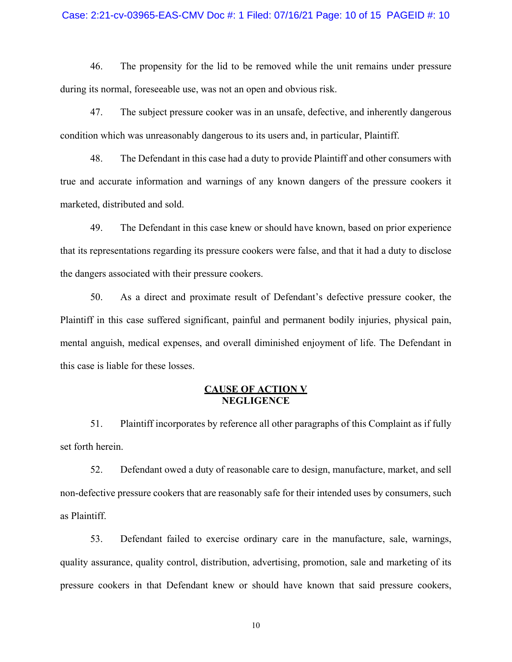## Case: 2:21-cv-03965-EAS-CMV Doc #: 1 Filed: 07/16/21 Page: 10 of 15 PAGEID #: 10

46. The propensity for the lid to be removed while the unit remains under pressure during its normal, foreseeable use, was not an open and obvious risk.

47. The subject pressure cooker was in an unsafe, defective, and inherently dangerous condition which was unreasonably dangerous to its users and, in particular, Plaintiff.

48. The Defendant in this case had a duty to provide Plaintiff and other consumers with true and accurate information and warnings of any known dangers of the pressure cookers it marketed, distributed and sold.

49. The Defendant in this case knew or should have known, based on prior experience that its representations regarding its pressure cookers were false, and that it had a duty to disclose the dangers associated with their pressure cookers.

50. As a direct and proximate result of Defendant's defective pressure cooker, the Plaintiff in this case suffered significant, painful and permanent bodily injuries, physical pain, mental anguish, medical expenses, and overall diminished enjoyment of life. The Defendant in this case is liable for these losses.

# **CAUSE OF ACTION V NEGLIGENCE**

51. Plaintiff incorporates by reference all other paragraphs of this Complaint as if fully set forth herein.

52. Defendant owed a duty of reasonable care to design, manufacture, market, and sell non-defective pressure cookers that are reasonably safe for their intended uses by consumers, such as Plaintiff.

53. Defendant failed to exercise ordinary care in the manufacture, sale, warnings, quality assurance, quality control, distribution, advertising, promotion, sale and marketing of its pressure cookers in that Defendant knew or should have known that said pressure cookers,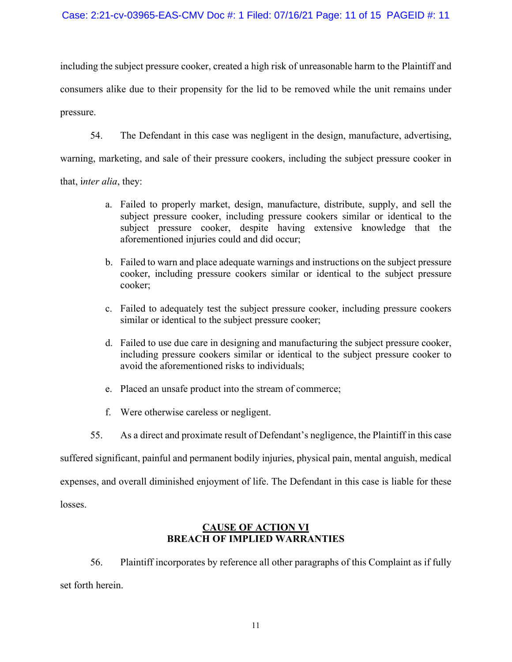# Case: 2:21-cv-03965-EAS-CMV Doc #: 1 Filed: 07/16/21 Page: 11 of 15 PAGEID #: 11

including the subject pressure cooker, created a high risk of unreasonable harm to the Plaintiff and consumers alike due to their propensity for the lid to be removed while the unit remains under pressure.

54. The Defendant in this case was negligent in the design, manufacture, advertising,

warning, marketing, and sale of their pressure cookers, including the subject pressure cooker in

that, i*nter alia*, they:

- a. Failed to properly market, design, manufacture, distribute, supply, and sell the subject pressure cooker, including pressure cookers similar or identical to the subject pressure cooker, despite having extensive knowledge that the aforementioned injuries could and did occur;
- b. Failed to warn and place adequate warnings and instructions on the subject pressure cooker, including pressure cookers similar or identical to the subject pressure cooker;
- c. Failed to adequately test the subject pressure cooker, including pressure cookers similar or identical to the subject pressure cooker;
- d. Failed to use due care in designing and manufacturing the subject pressure cooker, including pressure cookers similar or identical to the subject pressure cooker to avoid the aforementioned risks to individuals;
- e. Placed an unsafe product into the stream of commerce;
- f. Were otherwise careless or negligent.
- 55. As a direct and proximate result of Defendant's negligence, the Plaintiff in this case

suffered significant, painful and permanent bodily injuries, physical pain, mental anguish, medical

expenses, and overall diminished enjoyment of life. The Defendant in this case is liable for these

losses.

# **CAUSE OF ACTION VI BREACH OF IMPLIED WARRANTIES**

56. Plaintiff incorporates by reference all other paragraphs of this Complaint as if fully set forth herein.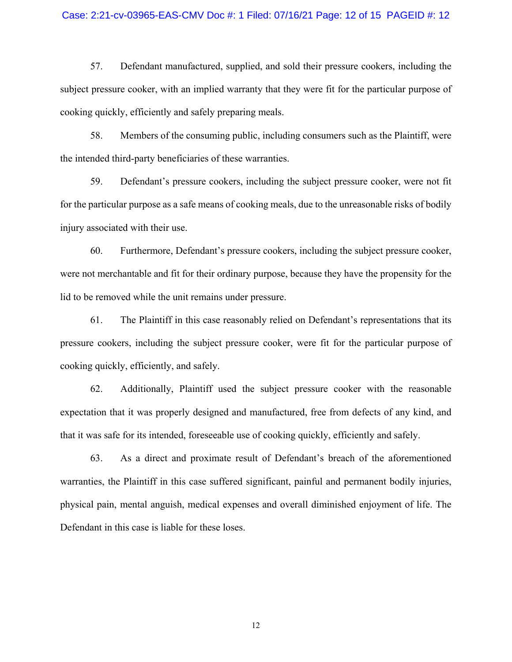## Case: 2:21-cv-03965-EAS-CMV Doc #: 1 Filed: 07/16/21 Page: 12 of 15 PAGEID #: 12

57. Defendant manufactured, supplied, and sold their pressure cookers, including the subject pressure cooker, with an implied warranty that they were fit for the particular purpose of cooking quickly, efficiently and safely preparing meals.

58. Members of the consuming public, including consumers such as the Plaintiff, were the intended third-party beneficiaries of these warranties.

59. Defendant's pressure cookers, including the subject pressure cooker, were not fit for the particular purpose as a safe means of cooking meals, due to the unreasonable risks of bodily injury associated with their use.

60. Furthermore, Defendant's pressure cookers, including the subject pressure cooker, were not merchantable and fit for their ordinary purpose, because they have the propensity for the lid to be removed while the unit remains under pressure.

61. The Plaintiff in this case reasonably relied on Defendant's representations that its pressure cookers, including the subject pressure cooker, were fit for the particular purpose of cooking quickly, efficiently, and safely.

62. Additionally, Plaintiff used the subject pressure cooker with the reasonable expectation that it was properly designed and manufactured, free from defects of any kind, and that it was safe for its intended, foreseeable use of cooking quickly, efficiently and safely.

63. As a direct and proximate result of Defendant's breach of the aforementioned warranties, the Plaintiff in this case suffered significant, painful and permanent bodily injuries, physical pain, mental anguish, medical expenses and overall diminished enjoyment of life. The Defendant in this case is liable for these loses.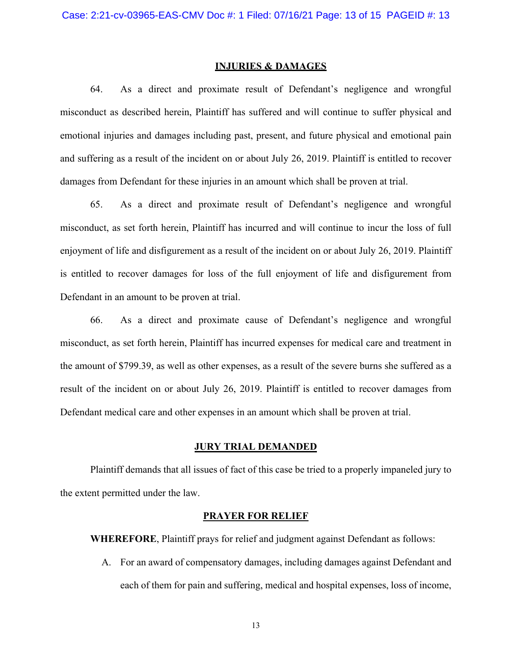#### **INJURIES & DAMAGES**

64. As a direct and proximate result of Defendant's negligence and wrongful misconduct as described herein, Plaintiff has suffered and will continue to suffer physical and emotional injuries and damages including past, present, and future physical and emotional pain and suffering as a result of the incident on or about July 26, 2019. Plaintiff is entitled to recover damages from Defendant for these injuries in an amount which shall be proven at trial.

65. As a direct and proximate result of Defendant's negligence and wrongful misconduct, as set forth herein, Plaintiff has incurred and will continue to incur the loss of full enjoyment of life and disfigurement as a result of the incident on or about July 26, 2019. Plaintiff is entitled to recover damages for loss of the full enjoyment of life and disfigurement from Defendant in an amount to be proven at trial.

66. As a direct and proximate cause of Defendant's negligence and wrongful misconduct, as set forth herein, Plaintiff has incurred expenses for medical care and treatment in the amount of \$799.39, as well as other expenses, as a result of the severe burns she suffered as a result of the incident on or about July 26, 2019. Plaintiff is entitled to recover damages from Defendant medical care and other expenses in an amount which shall be proven at trial.

## **JURY TRIAL DEMANDED**

Plaintiff demands that all issues of fact of this case be tried to a properly impaneled jury to the extent permitted under the law.

## **PRAYER FOR RELIEF**

**WHEREFORE**, Plaintiff prays for relief and judgment against Defendant as follows:

A. For an award of compensatory damages, including damages against Defendant and each of them for pain and suffering, medical and hospital expenses, loss of income,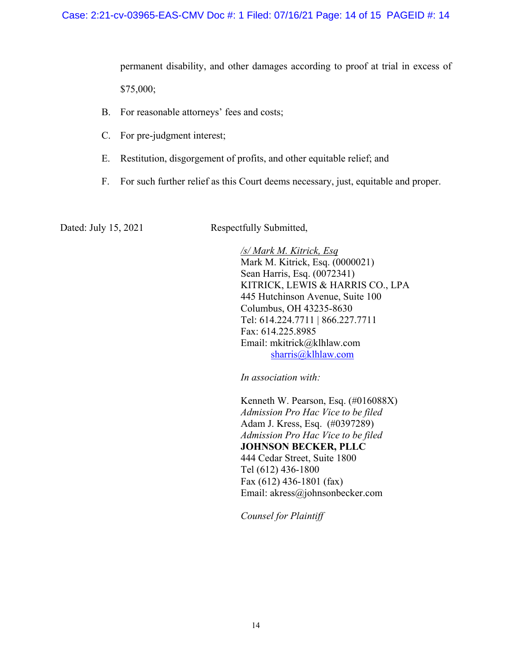permanent disability, and other damages according to proof at trial in excess of \$75,000;

- B. For reasonable attorneys' fees and costs;
- C. For pre-judgment interest;
- E. Restitution, disgorgement of profits, and other equitable relief; and
- F. For such further relief as this Court deems necessary, just, equitable and proper.

Dated: July 15, 2021 Respectfully Submitted,

*/s/ Mark M. Kitrick, Esq* Mark M. Kitrick, Esq. (0000021) Sean Harris, Esq. (0072341) KITRICK, LEWIS & HARRIS CO., LPA 445 Hutchinson Avenue, Suite 100 Columbus, OH 43235-8630 Tel: 614.224.7711 | 866.227.7711 Fax: 614.225.8985 Email: mkitrick@klhlaw.com [sharris@klhlaw.com](mailto:sharris@klhlaw.com)

*In association with:*

Kenneth W. Pearson, Esq. (#016088X) *Admission Pro Hac Vice to be filed* Adam J. Kress, Esq. (#0397289) *Admission Pro Hac Vice to be filed* **JOHNSON BECKER, PLLC** 444 Cedar Street, Suite 1800 Tel (612) 436-1800 Fax (612) 436-1801 (fax) Email: akress@johnsonbecker.com

*Counsel for Plaintiff*